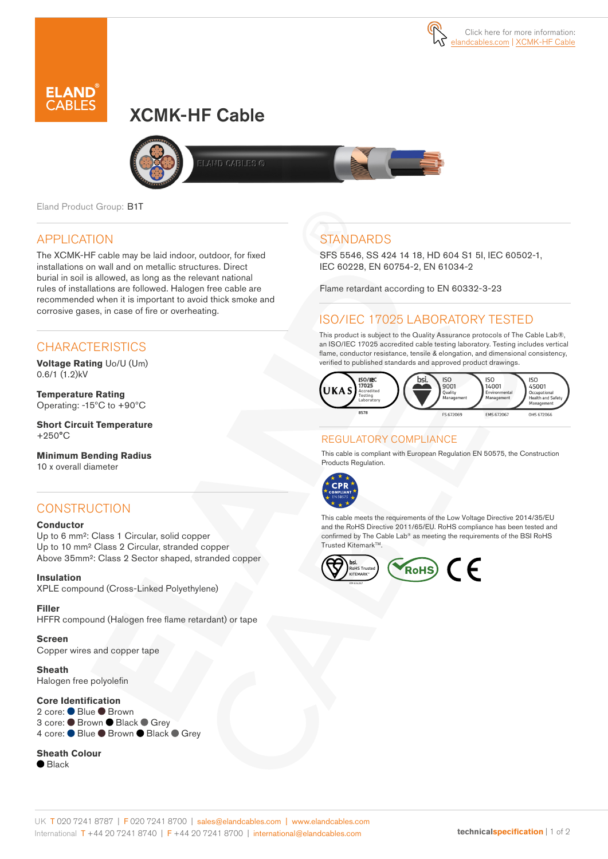# XCMK-HF Cable





Eland Product Group: B1T

### APPLICATION

The XCMK-HF cable may be laid indoor, outdoor, for fixed installations on wall and on metallic structures. Direct burial in soil is allowed, as long as the relevant national rules of installations are followed. Halogen free cable are recommended when it is important to avoid thick smoke and corrosive gases, in case of fire or overheating.

### **CHARACTERISTICS**

**Voltage Rating** Uo/U (Um) 0.6/1 (1.2)kV

**Temperature Rating** Operating: -15ºC to +90ºC

**Short Circuit Temperature** +250°C

**Minimum Bending Radius**  10 x overall diameter

### **CONSTRUCTION**

#### **Conductor**

Up to 6 mm²: Class 1 Circular, solid copper Up to 10 mm² Class 2 Circular, stranded copper Above 35mm²: Class 2 Sector shaped, stranded copper

**Insulation** XPLE compound (Cross-Linked Polyethylene)

**Filler**  HFFR compound (Halogen free flame retardant) or tape

**Screen** Copper wires and copper tape

**Sheath** Halogen free polyolefin

#### **Core Identification**

2 core: ● Blue ● Brown 3 core: ● Brown ● Black ● Grey 4 core: ● Blue ● Brown ● Black ● Grey

#### **Sheath Colour**

● Black

## **STANDARDS**

SFS 5546, SS 424 14 18, HD 604 S1 5I, IEC 60502-1, IEC 60228, EN 60754-2, EN 61034-2

Flame retardant according to EN 60332-3-23

### ISO/IEC 17025 LABORATORY TESTED

This product is subject to the Quality Assurance protocols of The Cable Lab®, an ISO/IEC 17025 accredited cable testing laboratory. Testing includes vertical flame, conductor resistance, tensile & elongation, and dimensional consistency, verified to published standards and approved product drawings.



### REGULATORY COMPLIANCE

This cable is compliant with European Regulation EN 50575, the Construction Products Regulation.



This cable meets the requirements of the Low Voltage Directive 2014/35/EU and the RoHS Directive 2011/65/EU. RoHS compliance has been tested and confirmed by The Cable Lab® as meeting the requirements of the BSI RoHS Trusted KitemarkTM.